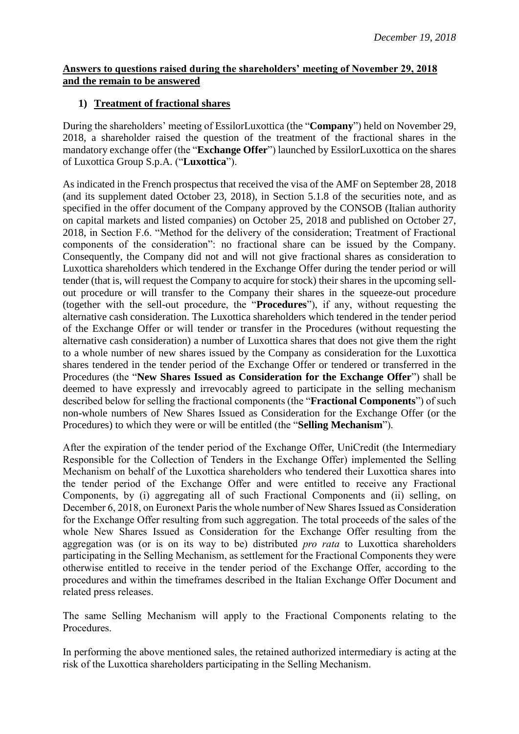## **Answers to questions raised during the shareholders' meeting of November 29, 2018 and the remain to be answered**

## **1) Treatment of fractional shares**

During the shareholders' meeting of EssilorLuxottica (the "**Company**") held on November 29, 2018, a shareholder raised the question of the treatment of the fractional shares in the mandatory exchange offer (the "**Exchange Offer**") launched by EssilorLuxottica on the shares of Luxottica Group S.p.A. ("**Luxottica**").

As indicated in the French prospectus that received the visa of the AMF on September 28, 2018 (and its supplement dated October 23, 2018), in Section 5.1.8 of the securities note, and as specified in the offer document of the Company approved by the CONSOB (Italian authority on capital markets and listed companies) on October 25, 2018 and published on October 27, 2018, in Section F.6. "Method for the delivery of the consideration; Treatment of Fractional components of the consideration": no fractional share can be issued by the Company. Consequently, the Company did not and will not give fractional shares as consideration to Luxottica shareholders which tendered in the Exchange Offer during the tender period or will tender (that is, will request the Company to acquire for stock) their shares in the upcoming sellout procedure or will transfer to the Company their shares in the squeeze-out procedure (together with the sell-out procedure, the "**Procedures**"), if any, without requesting the alternative cash consideration. The Luxottica shareholders which tendered in the tender period of the Exchange Offer or will tender or transfer in the Procedures (without requesting the alternative cash consideration) a number of Luxottica shares that does not give them the right to a whole number of new shares issued by the Company as consideration for the Luxottica shares tendered in the tender period of the Exchange Offer or tendered or transferred in the Procedures (the "**New Shares Issued as Consideration for the Exchange Offer**") shall be deemed to have expressly and irrevocably agreed to participate in the selling mechanism described below for selling the fractional components (the "**Fractional Components**") of such non-whole numbers of New Shares Issued as Consideration for the Exchange Offer (or the Procedures) to which they were or will be entitled (the "**Selling Mechanism**").

After the expiration of the tender period of the Exchange Offer, UniCredit (the Intermediary Responsible for the Collection of Tenders in the Exchange Offer) implemented the Selling Mechanism on behalf of the Luxottica shareholders who tendered their Luxottica shares into the tender period of the Exchange Offer and were entitled to receive any Fractional Components, by (i) aggregating all of such Fractional Components and (ii) selling, on December 6, 2018, on Euronext Paris the whole number of New Shares Issued as Consideration for the Exchange Offer resulting from such aggregation. The total proceeds of the sales of the whole New Shares Issued as Consideration for the Exchange Offer resulting from the aggregation was (or is on its way to be) distributed *pro rata* to Luxottica shareholders participating in the Selling Mechanism, as settlement for the Fractional Components they were otherwise entitled to receive in the tender period of the Exchange Offer, according to the procedures and within the timeframes described in the Italian Exchange Offer Document and related press releases.

The same Selling Mechanism will apply to the Fractional Components relating to the Procedures.

In performing the above mentioned sales, the retained authorized intermediary is acting at the risk of the Luxottica shareholders participating in the Selling Mechanism.